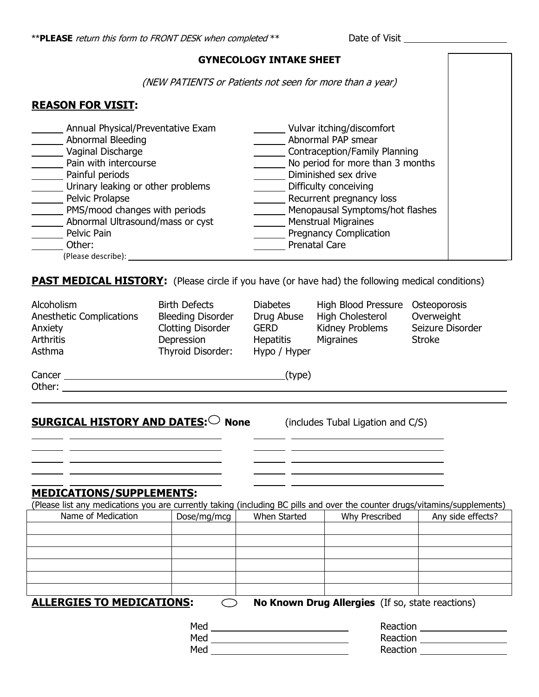### **GYNECOLOGY INTAKE SHEET**

(NEW PATIENTS or Patients not seen for more than a year)

### **REASON FOR VISIT:**

| Annual Physical/Preventative Exam<br>Abnormal Bleeding<br>Vaginal Discharge<br>Pain with intercourse<br>Painful periods<br>Urinary leaking or other problems<br>Pelvic Prolapse<br>PMS/mood changes with periods<br>Abnormal Ultrasound/mass or cyst<br>Pelvic Pain<br>Other:<br>(Please describe): | Vulvar itching/discomfort<br>Abnormal PAP smear<br>Contraception/Family Planning<br>No period for more than 3 months<br>Diminished sex drive<br>Difficulty conceiving<br>Recurrent pregnancy loss<br>Menopausal Symptoms/hot flashes<br><b>Menstrual Migraines</b><br><b>Pregnancy Complication</b><br><b>Prenatal Care</b> |
|-----------------------------------------------------------------------------------------------------------------------------------------------------------------------------------------------------------------------------------------------------------------------------------------------------|-----------------------------------------------------------------------------------------------------------------------------------------------------------------------------------------------------------------------------------------------------------------------------------------------------------------------------|
|-----------------------------------------------------------------------------------------------------------------------------------------------------------------------------------------------------------------------------------------------------------------------------------------------------|-----------------------------------------------------------------------------------------------------------------------------------------------------------------------------------------------------------------------------------------------------------------------------------------------------------------------------|

**PAST MEDICAL HISTORY:** (Please circle if you have (or have had) the following medical conditions)

| Alcoholism<br>Anesthetic Complications<br>Anxiety<br><b>Arthritis</b><br>Asthma                                                                                                                                                | <b>Birth Defects</b><br><b>Bleeding Disorder</b><br><b>Clotting Disorder</b><br>Depression<br>Thyroid Disorder: | <b>Diabetes</b><br>Drug Abuse<br><b>GERD</b><br>Hepatitis<br>Hypo / Hyper | High Blood Pressure<br>High Cholesterol<br>Kidney Problems<br>Migraines | Osteoporosis<br>Overweight<br>Seizure Disorder<br><b>Stroke</b> |
|--------------------------------------------------------------------------------------------------------------------------------------------------------------------------------------------------------------------------------|-----------------------------------------------------------------------------------------------------------------|---------------------------------------------------------------------------|-------------------------------------------------------------------------|-----------------------------------------------------------------|
| Cancer <b>Cancer Cancer Cancer Cancer Cancer Cancer Cancer Cancer Cancer Cancer Cancer Cancer Cancer Cancer Cancer Cancer Cancer Cancer Cancer Cancer Cancer Cancer Cancer Cancer</b>                                          |                                                                                                                 | (type)                                                                    |                                                                         |                                                                 |
| Other: when the contract of the contract of the contract of the contract of the contract of the contract of the contract of the contract of the contract of the contract of the contract of the contract of the contract of th |                                                                                                                 |                                                                           |                                                                         |                                                                 |
| <b>SURGICAL HISTORY AND DATES:</b> $\bigcirc$ None<br><b>MEDICATIONS/SUPPLEMENTS:</b><br>(Please list any medications you are currently taking (including BC pills and over the counter drugs/vitamins/supplements)            |                                                                                                                 |                                                                           | (includes Tubal Ligation and C/S)                                       |                                                                 |
| Name of Medication                                                                                                                                                                                                             | Dose/mg/mcg                                                                                                     | When Started                                                              | Why Prescribed                                                          | Any side effects?                                               |
|                                                                                                                                                                                                                                |                                                                                                                 |                                                                           |                                                                         |                                                                 |
|                                                                                                                                                                                                                                |                                                                                                                 |                                                                           |                                                                         |                                                                 |
| <b>ALLERGIES TO MEDICATIONS:</b>                                                                                                                                                                                               |                                                                                                                 |                                                                           | No Known Drug Allergies (If so, state reactions)                        |                                                                 |
|                                                                                                                                                                                                                                | Med                                                                                                             |                                                                           | Reaction                                                                |                                                                 |
| Med                                                                                                                                                                                                                            |                                                                                                                 |                                                                           | Reaction                                                                |                                                                 |

Med Reaction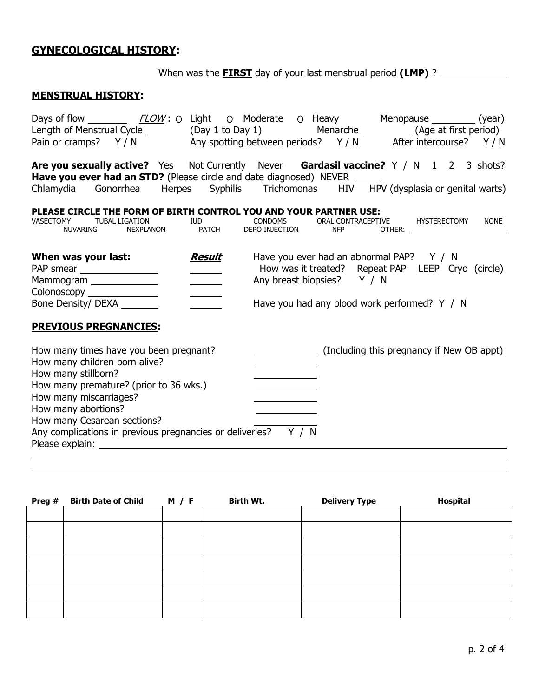# **GYNECOLOGICAL HISTORY:**

When was the **FIRST** day of your last menstrual period (LMP) ? \_\_\_\_\_\_\_\_\_\_\_\_\_\_\_\_\_

# **MENSTRUAL HISTORY:**

| Days of flow _________ FLOW: O Light O Moderate O Heavy Menopause ________ (year)<br>Length of Menstrual Cycle ________(Day 1 to Day 1) Menarche _________(Age at first period)<br>Pain or cramps? Y/N Any spotting between periods? Y/N After intercourse? Y/N                                                                                                                                                                                                                                                                                                           |                                                |
|---------------------------------------------------------------------------------------------------------------------------------------------------------------------------------------------------------------------------------------------------------------------------------------------------------------------------------------------------------------------------------------------------------------------------------------------------------------------------------------------------------------------------------------------------------------------------|------------------------------------------------|
| Are you sexually active? Yes Not Currently Never Gardasil vaccine? Y / N 1 2 3 shots?<br><b>Have you ever had an STD?</b> (Please circle and date diagnosed) NEVER _____<br>Chlamydia Gonorrhea Herpes Syphilis Trichomonas HIV HPV (dysplasia or genital warts)                                                                                                                                                                                                                                                                                                          |                                                |
| PLEASE CIRCLE THE FORM OF BIRTH CONTROL YOU AND YOUR PARTNER USE:<br>GATION IUD CONDOMS ORAL CONTRACEPT<br>NEXPLANON PATCH DEPOINJECTION NFP<br><b>TUBAL LIGATION</b><br>VASECTOMY<br>NUVARING                                                                                                                                                                                                                                                                                                                                                                            | ORAL CONTRACEPTIVE HYSTERECTOMY<br><b>NONE</b> |
| Have you ever had an abnormal PAP? Y / N<br>Result<br>When was your last:<br>How was it treated? Repeat PAP LEEP Cryo (circle)<br>PAP smear _________________<br>$\frac{1}{1}$<br>Any breast biopsies? Y / N<br>Mammogram ______________<br>$\overline{\phantom{a}}$<br>Colonoscopy _______________<br>Bone Density/ DEXA _______<br>Have you had any blood work performed? Y / N<br><b>PREVIOUS PREGNANCIES:</b>                                                                                                                                                         |                                                |
| How many times have you been pregnant?<br>(Including this pregnancy if New OB appt)<br>How many children born alive?<br>How many stillborn?<br>How many premature? (prior to 36 wks.)<br>How many miscarriages?<br>How many abortions?<br>How many Cesarean sections?<br>Any complications in previous pregnancies or deliveries? Y / N<br>Please explain: The contract of the contract of the contract of the contract of the contract of the contract of the contract of the contract of the contract of the contract of the contract of the contract of the contract o |                                                |

| Preg # | <b>Birth Date of Child</b> | <b>M</b> / <b>F</b> | Birth Wt. | <b>Delivery Type</b> | Hospital |
|--------|----------------------------|---------------------|-----------|----------------------|----------|
|        |                            |                     |           |                      |          |
|        |                            |                     |           |                      |          |
|        |                            |                     |           |                      |          |
|        |                            |                     |           |                      |          |
|        |                            |                     |           |                      |          |
|        |                            |                     |           |                      |          |
|        |                            |                     |           |                      |          |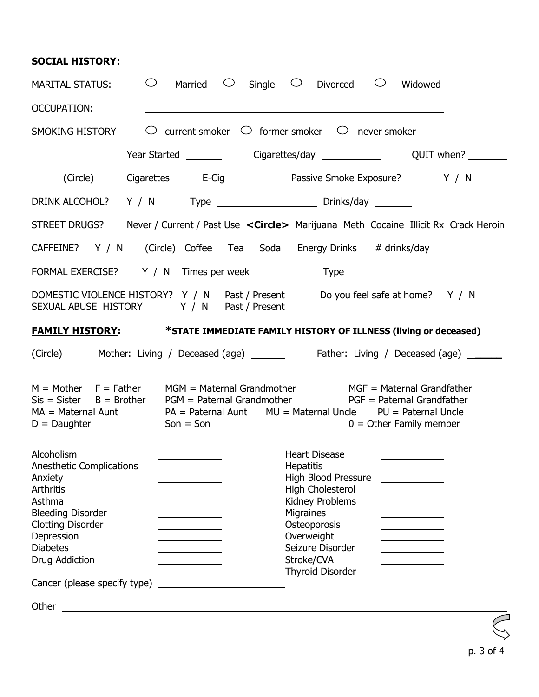# **SOCIAL HISTORY:**

| <b>MARITAL STATUS:</b>                                                                                                                                                       | $\circ$ Married                                                                                                        | $\circ$ Single $\circ$ Divorced $\circ$ Widowed                                                                                                                                                                                                                                                                                                                                                                                |  |  |
|------------------------------------------------------------------------------------------------------------------------------------------------------------------------------|------------------------------------------------------------------------------------------------------------------------|--------------------------------------------------------------------------------------------------------------------------------------------------------------------------------------------------------------------------------------------------------------------------------------------------------------------------------------------------------------------------------------------------------------------------------|--|--|
| <b>OCCUPATION:</b>                                                                                                                                                           |                                                                                                                        |                                                                                                                                                                                                                                                                                                                                                                                                                                |  |  |
| SMOKING HISTORY                                                                                                                                                              | $\circlearrowright$ current smoker $\circlearrowright$ former smoker $\circlearrowright$ never smoker                  |                                                                                                                                                                                                                                                                                                                                                                                                                                |  |  |
|                                                                                                                                                                              |                                                                                                                        |                                                                                                                                                                                                                                                                                                                                                                                                                                |  |  |
| (Circle)                                                                                                                                                                     |                                                                                                                        | Cigarettes E-Cig Passive Smoke Exposure? Y / N                                                                                                                                                                                                                                                                                                                                                                                 |  |  |
|                                                                                                                                                                              |                                                                                                                        |                                                                                                                                                                                                                                                                                                                                                                                                                                |  |  |
|                                                                                                                                                                              |                                                                                                                        | STREET DRUGS? Never / Current / Past Use < Circle> Marijuana Meth Cocaine Illicit Rx Crack Heroin                                                                                                                                                                                                                                                                                                                              |  |  |
|                                                                                                                                                                              |                                                                                                                        | CAFFEINE? Y / N (Circle) Coffee Tea Soda Energy Drinks # drinks/day _______                                                                                                                                                                                                                                                                                                                                                    |  |  |
|                                                                                                                                                                              |                                                                                                                        |                                                                                                                                                                                                                                                                                                                                                                                                                                |  |  |
|                                                                                                                                                                              | SEXUAL ABUSE HISTORY Y / N Past / Present                                                                              | DOMESTIC VIOLENCE HISTORY? Y / N Past / Present Do you feel safe at home? Y / N                                                                                                                                                                                                                                                                                                                                                |  |  |
|                                                                                                                                                                              |                                                                                                                        | <b>FAMILY HISTORY:</b> *STATE IMMEDIATE FAMILY HISTORY OF ILLNESS (living or deceased)                                                                                                                                                                                                                                                                                                                                         |  |  |
|                                                                                                                                                                              |                                                                                                                        | (Circle) Mother: Living / Deceased (age) ________ Father: Living / Deceased (age) ______                                                                                                                                                                                                                                                                                                                                       |  |  |
| $M = Mother$ $F = Father$<br>$D =$ Daughter<br>Alcoholism                                                                                                                    | $Son = Son$                                                                                                            | MGM = Maternal Grandmother MGF = Maternal Grandfather<br>$Sis = Sister$ B = Brother PGM = Paternal Grandmother PGF = Paternal Grandfather<br>$MA = Material$ Aunt $PA = Paternal$ Aunt Pand Aunt MU = Maternal Uncle PU = Paternal Uncle<br>$0 =$ Other Family member<br><b>Heart Disease</b>                                                                                                                                  |  |  |
| Anesthetic Complications<br>Anxiety<br><b>Arthritis</b><br>Asthma<br><b>Bleeding Disorder</b><br><b>Clotting Disorder</b><br>Depression<br><b>Diabetes</b><br>Drug Addiction | <u> 1989 - Johann Barnett, fransk konge</u>                                                                            | <u>and the company of the company of the company of the company of the company of the company of the company of the company of the company of the company of the company of the company of the company of the company of the com</u><br><b>Hepatitis</b><br>High Blood Pressure<br>High Cholesterol<br>Kidney Problems<br>Migraines<br>Osteoporosis<br>Overweight<br>Seizure Disorder<br>Stroke/CVA<br><b>Thyroid Disorder</b> |  |  |
| Cancer (please specify type)                                                                                                                                                 |                                                                                                                        |                                                                                                                                                                                                                                                                                                                                                                                                                                |  |  |
| Other                                                                                                                                                                        | <u> 1989 - Johann Stoff, deutscher Stoffen und der Stoffen und der Stoffen und der Stoffen und der Stoffen und der</u> |                                                                                                                                                                                                                                                                                                                                                                                                                                |  |  |
|                                                                                                                                                                              |                                                                                                                        |                                                                                                                                                                                                                                                                                                                                                                                                                                |  |  |